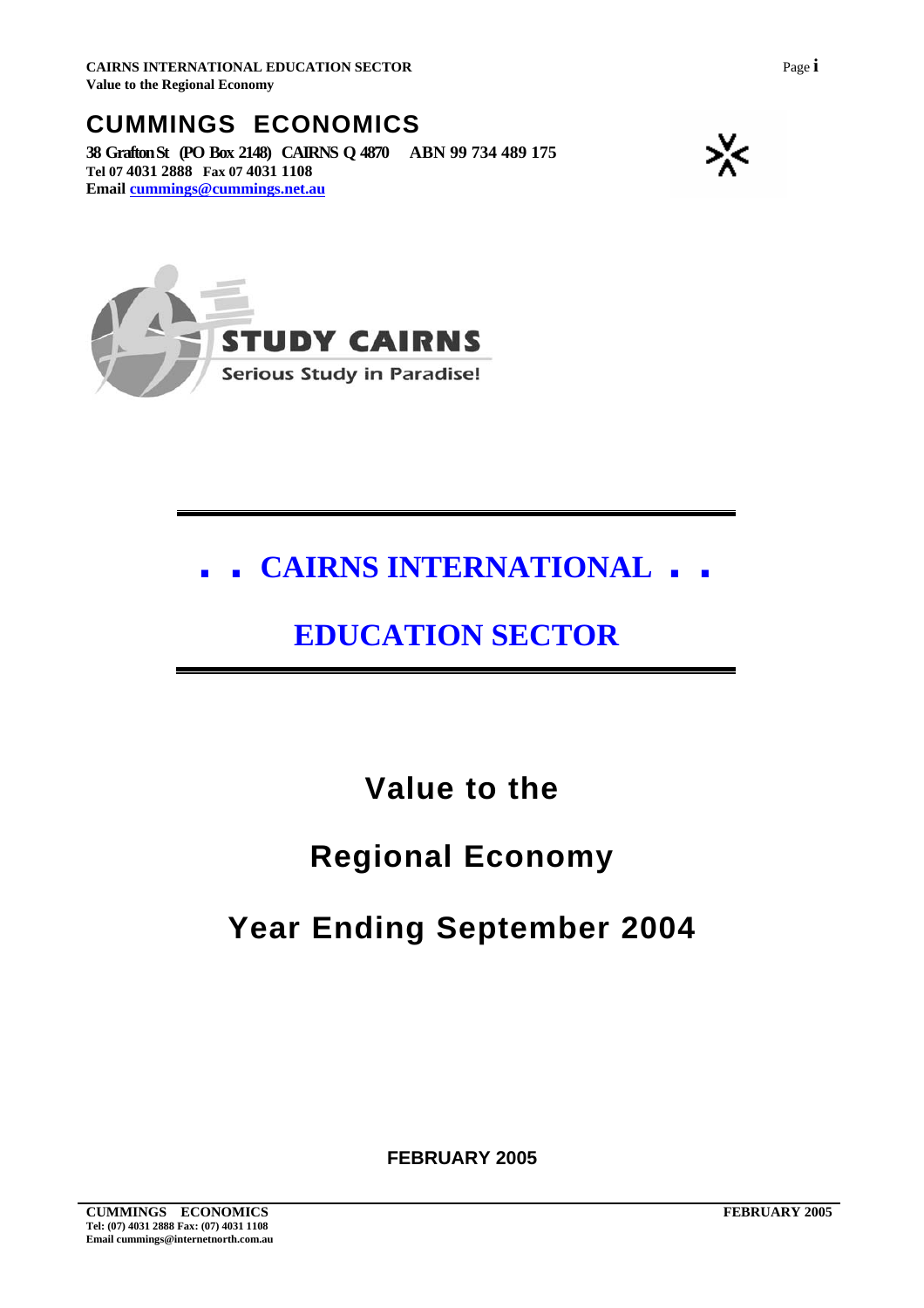### **CUMMINGS ECONOMICS**

**38 Grafton St (PO Box 2148) CAIRNS Q 4870 ABN 99 734 489 175 Tel 07 4031 2888 Fax 07 4031 1108 Email [cummings@cummings.net.au](mailto:wscers@internetnorth.com.au)**





## **. . CAIRNS INTERNATIONAL . .**

### **EDUCATION SECTOR**

### **Value to the**

### **Regional Economy**

## **Year Ending September 2004**

**FEBRUARY 2005**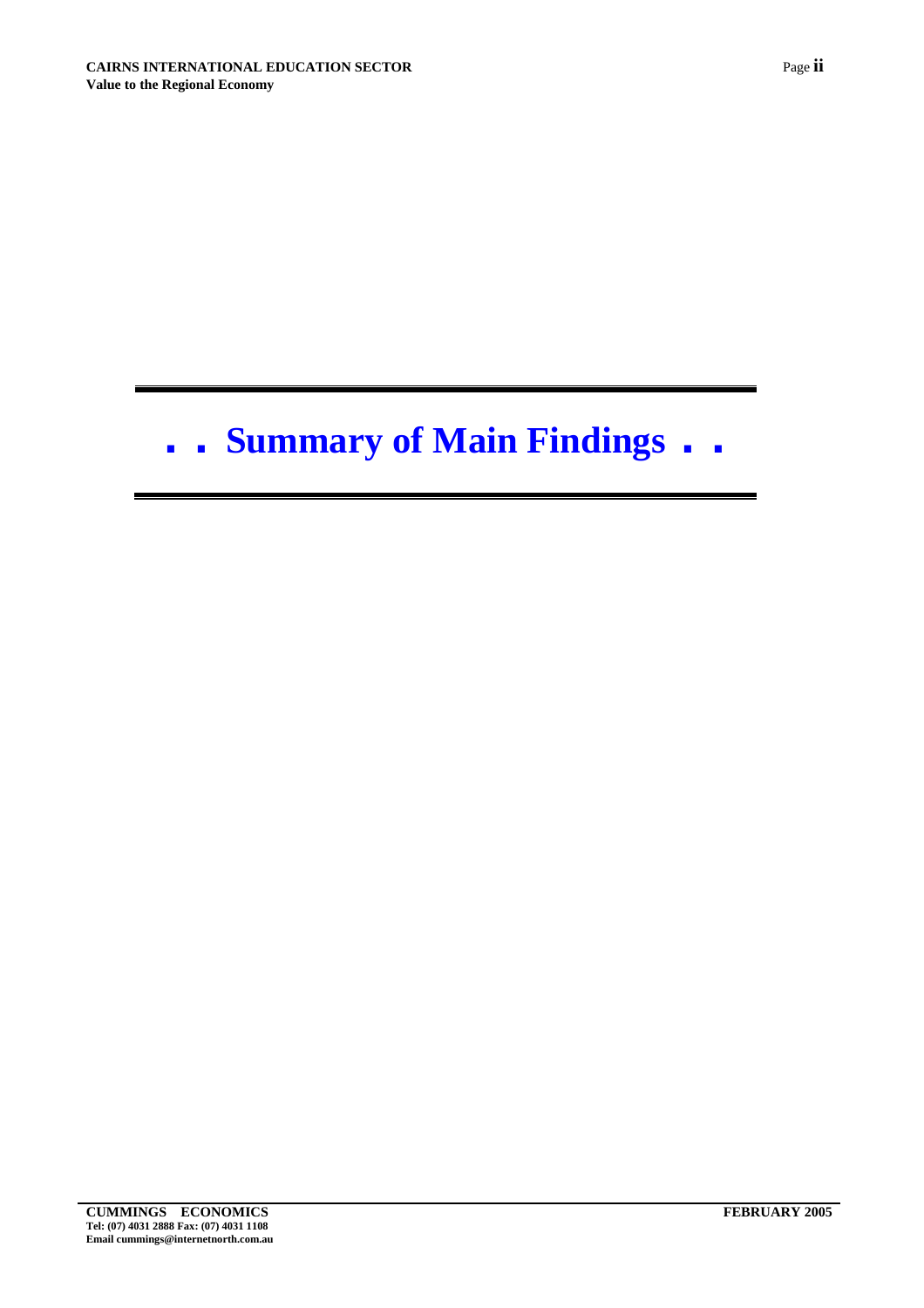# **. . Summary of Main Findings . .**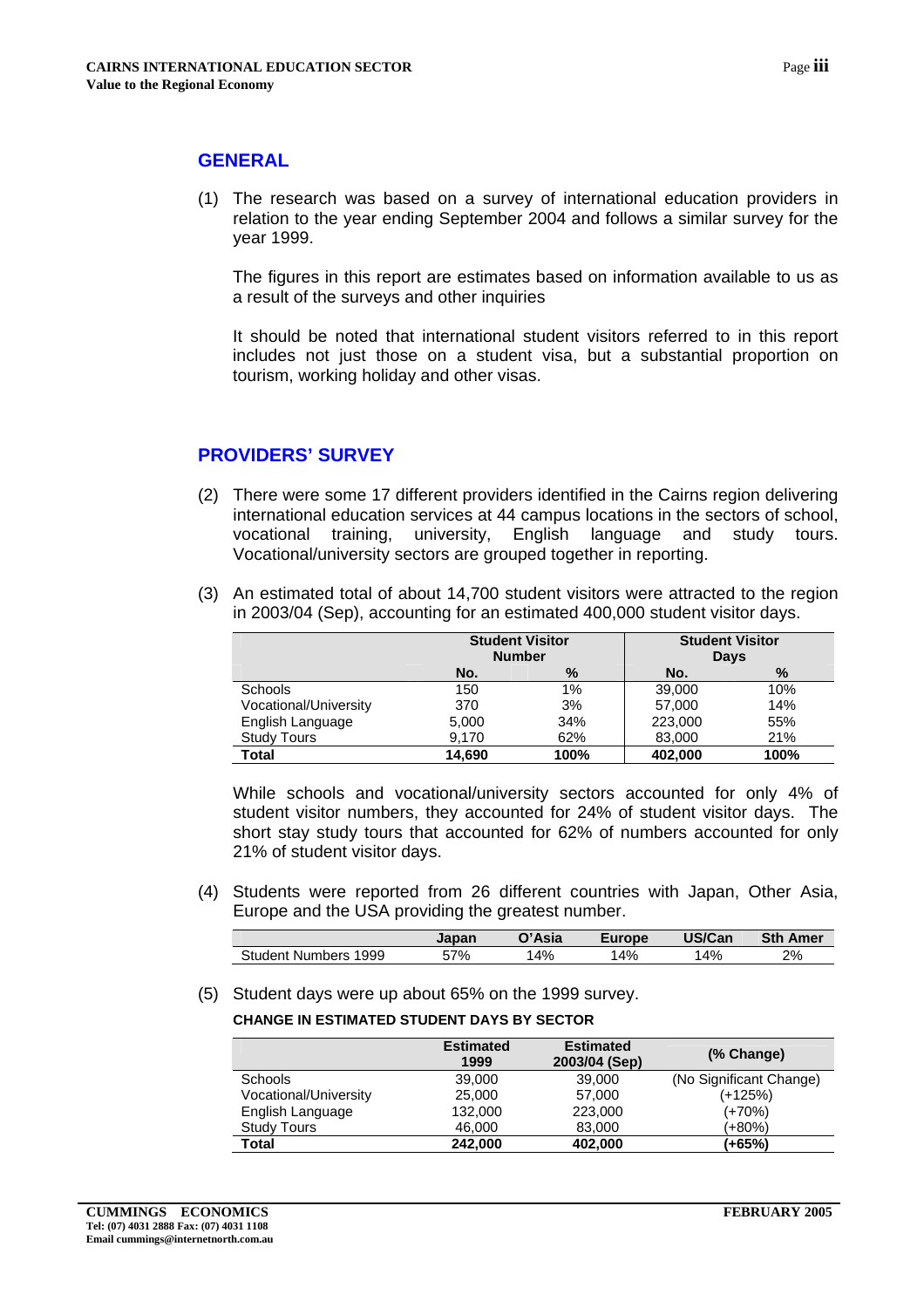#### **GENERAL**

(1) The research was based on a survey of international education providers in relation to the year ending September 2004 and follows a similar survey for the year 1999.

The figures in this report are estimates based on information available to us as a result of the surveys and other inquiries

It should be noted that international student visitors referred to in this report includes not just those on a student visa, but a substantial proportion on tourism, working holiday and other visas.

#### **PROVIDERS' SURVEY**

- (2) There were some 17 different providers identified in the Cairns region delivering international education services at 44 campus locations in the sectors of school, vocational training, university, English language and study tours. Vocational/university sectors are grouped together in reporting.
- (3) An estimated total of about 14,700 student visitors were attracted to the region in 2003/04 (Sep), accounting for an estimated 400,000 student visitor days.

|                       | <b>Student Visitor</b><br><b>Number</b> |      | <b>Student Visitor</b><br><b>Days</b> |      |  |
|-----------------------|-----------------------------------------|------|---------------------------------------|------|--|
|                       | No.                                     | %    | No.                                   | %    |  |
| <b>Schools</b>        | 150                                     | 1%   | 39,000                                | 10%  |  |
| Vocational/University | 370                                     | 3%   | 57,000                                | 14%  |  |
| English Language      | 5.000                                   | 34%  | 223,000                               | 55%  |  |
| <b>Study Tours</b>    | 9,170                                   | 62%  | 83,000                                | 21%  |  |
| Total                 | 14.690                                  | 100% | 402.000                               | 100% |  |

While schools and vocational/university sectors accounted for only 4% of student visitor numbers, they accounted for 24% of student visitor days. The short stay study tours that accounted for 62% of numbers accounted for only 21% of student visitor days.

(4) Students were reported from 26 different countries with Japan, Other Asia, Europe and the USA providing the greatest number.

|                            | Japan | $\gamma$ 'Asia | <b>urope</b> | US/Can | <b>Sth</b><br>Amer |
|----------------------------|-------|----------------|--------------|--------|--------------------|
| Student<br>1999<br>Numbers | 57%   | 4%             | 14%          | 14%    | 2%                 |

(5) Student days were up about 65% on the 1999 survey.

#### **CHANGE IN ESTIMATED STUDENT DAYS BY SECTOR**

|                       | <b>Estimated</b><br>1999 | <b>Estimated</b><br>2003/04 (Sep) | (% Change)              |
|-----------------------|--------------------------|-----------------------------------|-------------------------|
| <b>Schools</b>        | 39,000                   | 39,000                            | (No Significant Change) |
| Vocational/University | 25,000                   | 57,000                            | $(+125%)$               |
| English Language      | 132,000                  | 223,000                           | $(+70%)$                |
| Study Tours           | 46,000                   | 83,000                            | (+80%)                  |
| <b>Total</b>          | 242.000                  | 402,000                           | (+65%)                  |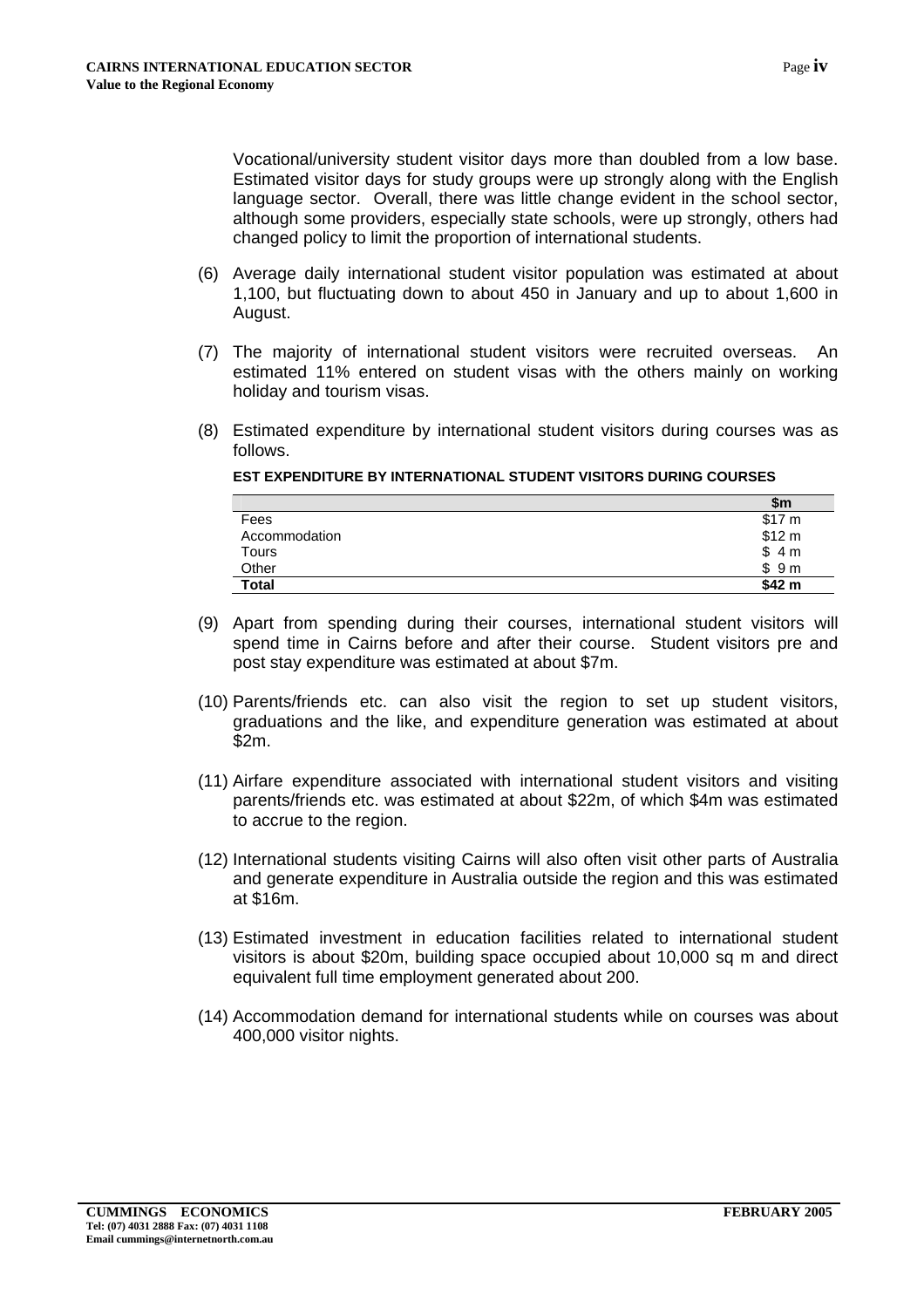Vocational/university student visitor days more than doubled from a low base. Estimated visitor days for study groups were up strongly along with the English language sector. Overall, there was little change evident in the school sector, although some providers, especially state schools, were up strongly, others had changed policy to limit the proportion of international students.

- (6) Average daily international student visitor population was estimated at about 1,100, but fluctuating down to about 450 in January and up to about 1,600 in August.
- (7) The majority of international student visitors were recruited overseas. An estimated 11% entered on student visas with the others mainly on working holiday and tourism visas.
- (8) Estimated expenditure by international student visitors during courses was as follows.

|               | \$m    |
|---------------|--------|
| Fees          | \$17 m |
| Accommodation | \$12 m |
| Tours         | \$4m   |
| Other         | \$9m   |
| <b>Total</b>  | \$42 m |

- (9) Apart from spending during their courses, international student visitors will spend time in Cairns before and after their course. Student visitors pre and post stay expenditure was estimated at about \$7m.
- (10) Parents/friends etc. can also visit the region to set up student visitors, graduations and the like, and expenditure generation was estimated at about \$2m.
- (11) Airfare expenditure associated with international student visitors and visiting parents/friends etc. was estimated at about \$22m, of which \$4m was estimated to accrue to the region.
- (12) International students visiting Cairns will also often visit other parts of Australia and generate expenditure in Australia outside the region and this was estimated at \$16m.
- (13) Estimated investment in education facilities related to international student visitors is about \$20m, building space occupied about 10,000 sq m and direct equivalent full time employment generated about 200.
- (14) Accommodation demand for international students while on courses was about 400,000 visitor nights.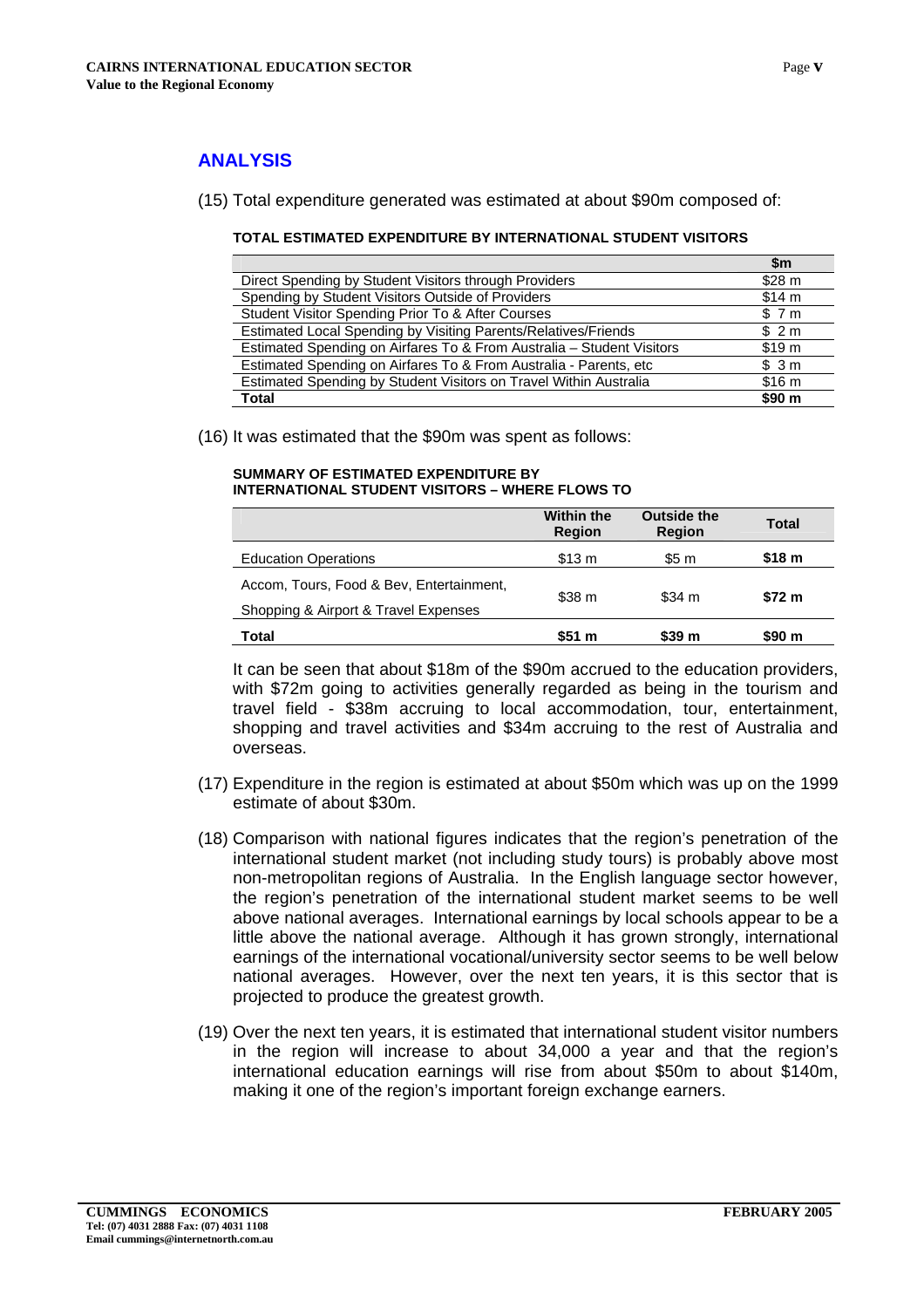#### **ANALYSIS**

#### (15) Total expenditure generated was estimated at about \$90m composed of:

#### **TOTAL ESTIMATED EXPENDITURE BY INTERNATIONAL STUDENT VISITORS**

| \$m               |
|-------------------|
| \$28 m            |
| \$14 m            |
| \$7m              |
| \$2m              |
| \$19 <sub>m</sub> |
| \$3m              |
| \$16 <sub>m</sub> |
| \$90 <sub>m</sub> |
|                   |

(16) It was estimated that the \$90m was spent as follows:

#### **SUMMARY OF ESTIMATED EXPENDITURE BY INTERNATIONAL STUDENT VISITORS – WHERE FLOWS TO**

|                                          | <b>Within the</b><br><b>Region</b> | <b>Outside the</b><br><b>Region</b> | <b>Total</b>      |
|------------------------------------------|------------------------------------|-------------------------------------|-------------------|
| <b>Education Operations</b>              | \$13 m                             | \$5 m                               | \$18 <sub>m</sub> |
| Accom, Tours, Food & Bev, Entertainment, |                                    | \$38 m<br>\$34 m                    | \$72 m            |
| Shopping & Airport & Travel Expenses     |                                    |                                     |                   |
| Total                                    | \$51 m                             | \$39 m                              | \$90 m            |

It can be seen that about \$18m of the \$90m accrued to the education providers, with \$72m going to activities generally regarded as being in the tourism and travel field - \$38m accruing to local accommodation, tour, entertainment, shopping and travel activities and \$34m accruing to the rest of Australia and overseas.

- (17) Expenditure in the region is estimated at about \$50m which was up on the 1999 estimate of about \$30m.
- (18) Comparison with national figures indicates that the region's penetration of the international student market (not including study tours) is probably above most non-metropolitan regions of Australia. In the English language sector however, the region's penetration of the international student market seems to be well above national averages. International earnings by local schools appear to be a little above the national average. Although it has grown strongly, international earnings of the international vocational/university sector seems to be well below national averages. However, over the next ten years, it is this sector that is projected to produce the greatest growth.
- (19) Over the next ten years, it is estimated that international student visitor numbers in the region will increase to about 34,000 a year and that the region's international education earnings will rise from about \$50m to about \$140m, making it one of the region's important foreign exchange earners.